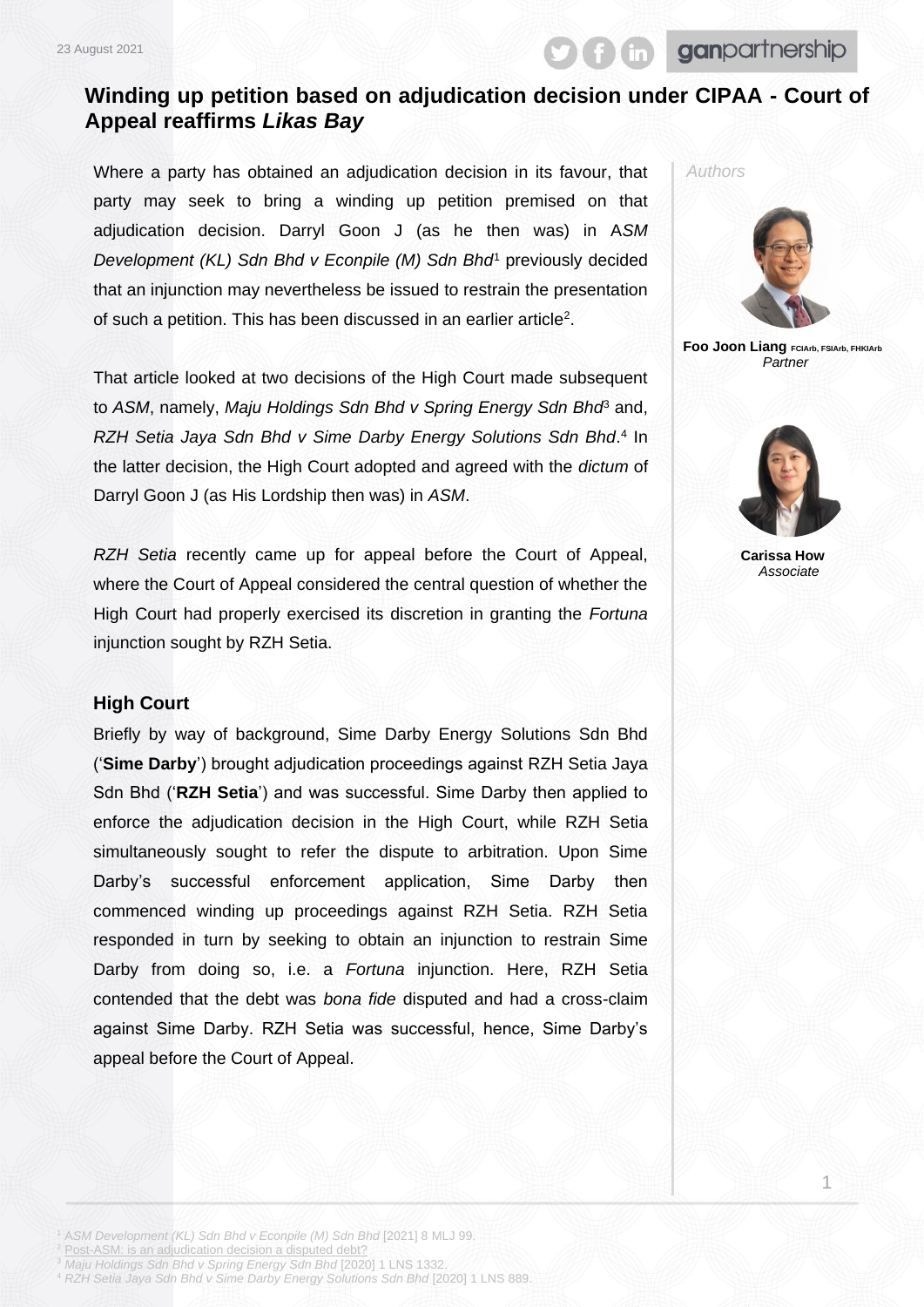23 August 2021

**in** ganpartnership

## **Winding up petition based on adjudication decision under CIPAA - Court of Appeal reaffirms** *Likas Bay*

Where a party has obtained an adjudication decision in its favour, that party may seek to bring a winding up petition premised on that adjudication decision. Darryl Goon J (as he then was) in A*SM Development (KL) Sdn Bhd v Econpile (M) Sdn Bhd*<sup>1</sup> previously decided that an injunction may nevertheless be issued to restrain the presentation of such a petition. This has been discussed in an earlier article<sup>2</sup>.

That article looked at two decisions of the High Court made subsequent to *ASM*, namely, *Maju Holdings Sdn Bhd v Spring Energy Sdn Bhd*<sup>3</sup> and, *RZH Setia Jaya Sdn Bhd v Sime Darby Energy Solutions Sdn Bhd*. 4 In the latter decision, the High Court adopted and agreed with the *dictum* of Darryl Goon J (as His Lordship then was) in *ASM*.

*RZH Setia* recently came up for appeal before the Court of Appeal, where the Court of Appeal considered the central question of whether the High Court had properly exercised its discretion in granting the *Fortuna* injunction sought by RZH Setia.

## **High Court**

Briefly by way of background, Sime Darby Energy Solutions Sdn Bhd ('**Sime Darby**') brought adjudication proceedings against RZH Setia Jaya Sdn Bhd ('**RZH Setia**') and was successful. Sime Darby then applied to enforce the adjudication decision in the High Court, while RZH Setia simultaneously sought to refer the dispute to arbitration. Upon Sime Darby's successful enforcement application, Sime Darby then commenced winding up proceedings against RZH Setia. RZH Setia responded in turn by seeking to obtain an injunction to restrain Sime Darby from doing so, i.e. a *Fortuna* injunction. Here, RZH Setia contended that the debt was *bona fide* disputed and had a cross-claim against Sime Darby. RZH Setia was successful, hence, Sime Darby's appeal before the Court of Appeal.



**Foo Joon Liang FCIArb, FSIArb, FHKIArb** *Partner*



**Carissa How** *Associate*

1

<sup>2</sup> [Post-ASM: is an adjudication decision a disputed debt?](https://www.ganlaw.my/post-asm-is-an-adjudication-decision-a-disputed-debt/)

<sup>3</sup> *Maju Holdings Sdn Bhd v Spring Energy Sdn Bhd* [2020] 1 LNS 1332. <sup>4</sup> *RZH Setia Jaya Sdn Bhd v Sime Darby Energy Solutions Sdn Bhd* [2020] 1 LNS 889.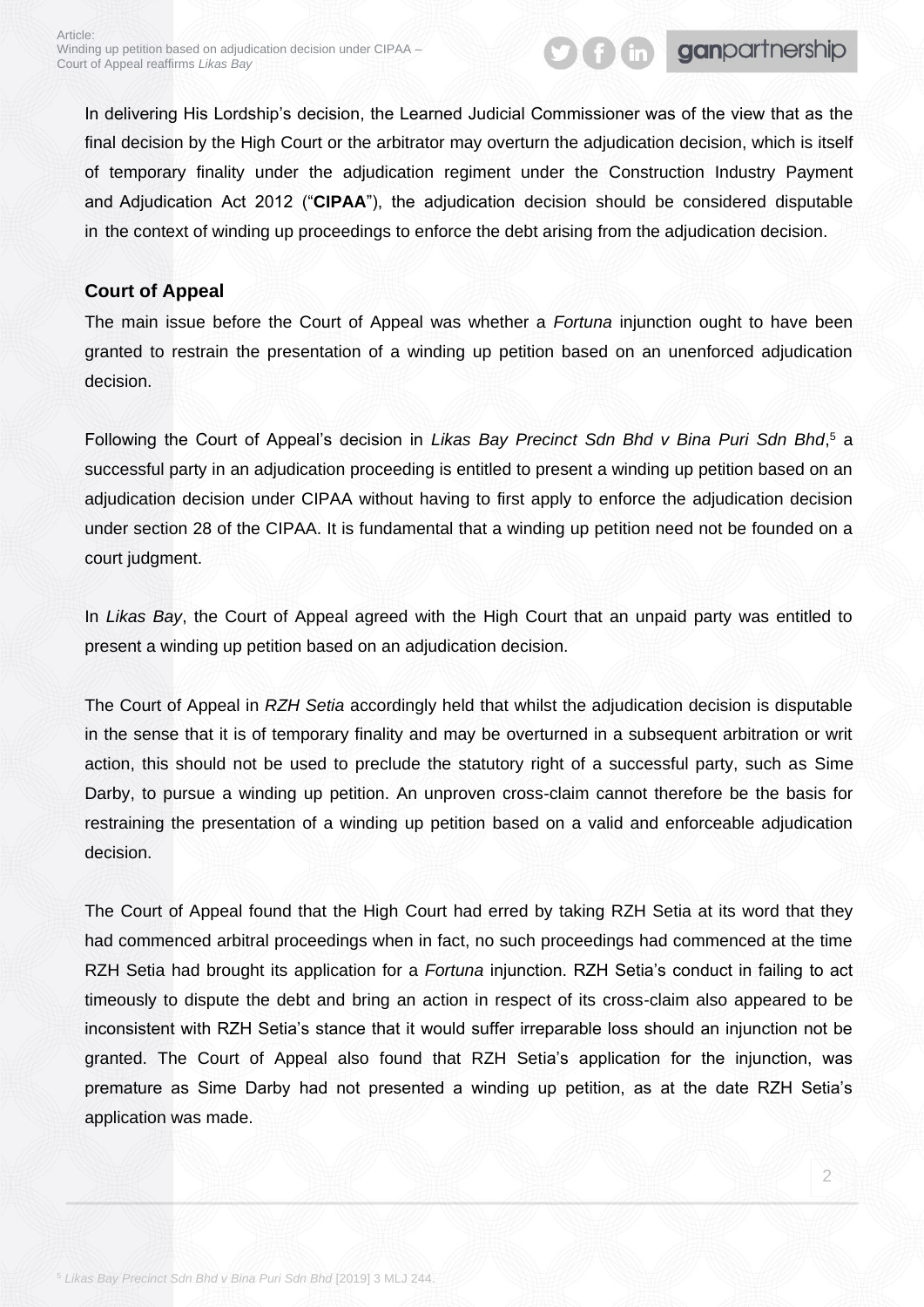In delivering His Lordship's decision, the Learned Judicial Commissioner was of the view that as the final decision by the High Court or the arbitrator may overturn the adjudication decision, which is itself of temporary finality under the adjudication regiment under the Construction Industry Payment and Adjudication Act 2012 ("**CIPAA**"), the adjudication decision should be considered disputable in the context of winding up proceedings to enforce the debt arising from the adjudication decision.

**Golf ganpartnership** 

## **Court of Appeal**

The main issue before the Court of Appeal was whether a *Fortuna* injunction ought to have been granted to restrain the presentation of a winding up petition based on an unenforced adjudication decision.

Following the Court of Appeal's decision in *Likas Bay Precinct Sdn Bhd v Bina Puri Sdn Bhd*, <sup>5</sup> a successful party in an adjudication proceeding is entitled to present a winding up petition based on an adjudication decision under CIPAA without having to first apply to enforce the adjudication decision under section 28 of the CIPAA. It is fundamental that a winding up petition need not be founded on a court judgment.

In *Likas Bay*, the Court of Appeal agreed with the High Court that an unpaid party was entitled to present a winding up petition based on an adjudication decision.

The Court of Appeal in *RZH Setia* accordingly held that whilst the adjudication decision is disputable in the sense that it is of temporary finality and may be overturned in a subsequent arbitration or writ action, this should not be used to preclude the statutory right of a successful party, such as Sime Darby, to pursue a winding up petition. An unproven cross-claim cannot therefore be the basis for restraining the presentation of a winding up petition based on a valid and enforceable adjudication decision.

The Court of Appeal found that the High Court had erred by taking RZH Setia at its word that they had commenced arbitral proceedings when in fact, no such proceedings had commenced at the time RZH Setia had brought its application for a *Fortuna* injunction. RZH Setia's conduct in failing to act timeously to dispute the debt and bring an action in respect of its cross-claim also appeared to be inconsistent with RZH Setia's stance that it would suffer irreparable loss should an injunction not be granted. The Court of Appeal also found that RZH Setia's application for the injunction, was premature as Sime Darby had not presented a winding up petition, as at the date RZH Setia's application was made.

2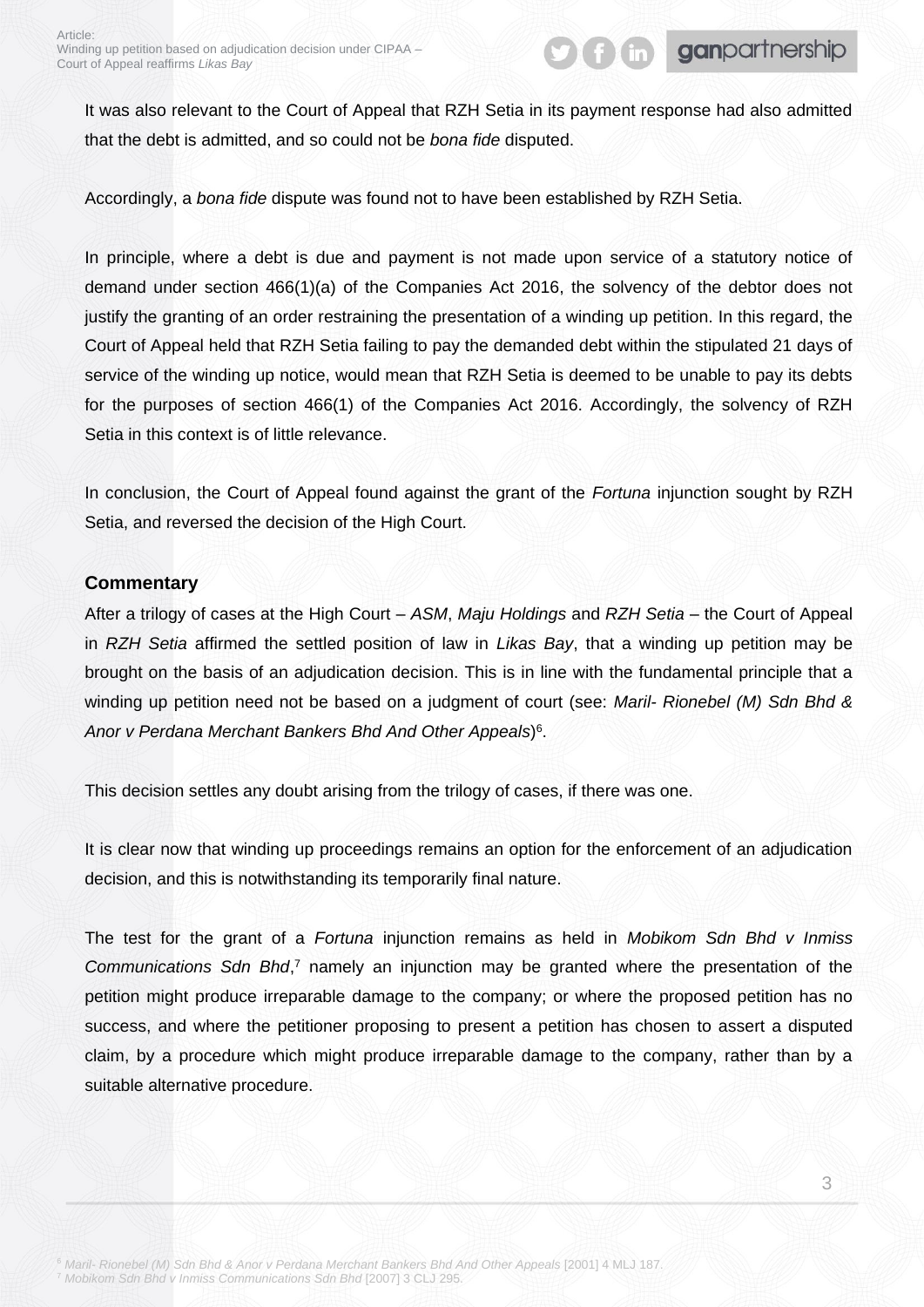It was also relevant to the Court of Appeal that RZH Setia in its payment response had also admitted that the debt is admitted, and so could not be *bona fide* disputed.

Accordingly, a *bona fide* dispute was found not to have been established by RZH Setia.

In principle, where a debt is due and payment is not made upon service of a statutory notice of demand under section 466(1)(a) of the Companies Act 2016, the solvency of the debtor does not justify the granting of an order restraining the presentation of a winding up petition. In this regard, the Court of Appeal held that RZH Setia failing to pay the demanded debt within the stipulated 21 days of service of the winding up notice, would mean that RZH Setia is deemed to be unable to pay its debts for the purposes of section 466(1) of the Companies Act 2016. Accordingly, the solvency of RZH Setia in this context is of little relevance.

In conclusion, the Court of Appeal found against the grant of the *Fortuna* injunction sought by RZH Setia, and reversed the decision of the High Court.

## **Commentary**

After a trilogy of cases at the High Court – *ASM*, *Maju Holdings* and *RZH Setia* – the Court of Appeal in *RZH Setia* affirmed the settled position of law in *Likas Bay*, that a winding up petition may be brought on the basis of an adjudication decision. This is in line with the fundamental principle that a winding up petition need not be based on a judgment of court (see: *Maril- Rionebel (M) Sdn Bhd & Anor v Perdana Merchant Bankers Bhd And Other Appeals*) 6 .

This decision settles any doubt arising from the trilogy of cases, if there was one.

It is clear now that winding up proceedings remains an option for the enforcement of an adjudication decision, and this is notwithstanding its temporarily final nature.

The test for the grant of a *Fortuna* injunction remains as held in *Mobikom Sdn Bhd v Inmiss*  Communications Sdn Bhd,<sup>7</sup> namely an injunction may be granted where the presentation of the petition might produce irreparable damage to the company; or where the proposed petition has no success, and where the petitioner proposing to present a petition has chosen to assert a disputed claim, by a procedure which might produce irreparable damage to the company, rather than by a suitable alternative procedure.